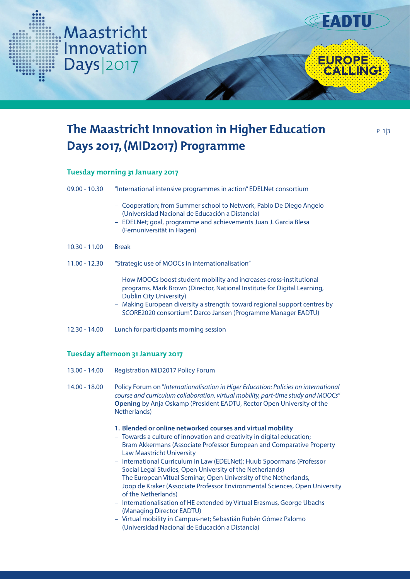

# **Tuesday morning 31 January 2017**

Maastricht

Innovation

Days|2017

| 09.00 - 10.30                     | "International intensive programmes in action" EDELNet consortium                                                                                                                                                                                                                                                                 |
|-----------------------------------|-----------------------------------------------------------------------------------------------------------------------------------------------------------------------------------------------------------------------------------------------------------------------------------------------------------------------------------|
|                                   | - Cooperation; from Summer school to Network, Pablo De Diego Angelo<br>(Universidad Nacional de Educación a Distancia)<br>- EDELNet; goal, programme and achievements Juan J. Garcia Blesa<br>(Fernuniversität in Hagen)                                                                                                          |
| $10.30 - 11.00$                   | <b>Break</b>                                                                                                                                                                                                                                                                                                                      |
| 11.00 - 12.30                     | "Strategic use of MOOCs in internationalisation"                                                                                                                                                                                                                                                                                  |
|                                   | - How MOOCs boost student mobility and increases cross-institutional<br>programs. Mark Brown (Director, National Institute for Digital Learning,<br><b>Dublin City University)</b><br>- Making European diversity a strength: toward regional support centres by<br>SCORE2020 consortium". Darco Jansen (Programme Manager EADTU) |
| 12.30 - 14.00                     | Lunch for participants morning session                                                                                                                                                                                                                                                                                            |
| Tuesday afternoon 31 January 2017 |                                                                                                                                                                                                                                                                                                                                   |
| 13.00 - 14.00                     | <b>Registration MID2017 Policy Forum</b>                                                                                                                                                                                                                                                                                          |
|                                   |                                                                                                                                                                                                                                                                                                                                   |

14.00 - 18.00 Policy Forum on "*Internationalisation in Higer Education: Policies on international course and curriculum collaboration, virtual mobility, part-time study and MOOCs*"  **Opening** by Anja Oskamp (President EADTU, Rector Open University of the Netherlands)

### **1. Blended or online networked courses and virtual mobility**

- Towards a culture of innovation and creativity in digital education; Bram Akkermans (Associate Professor European and Comparative Property Law Maastricht University
- International Curriculum in Law (EDELNet); Huub Spoormans (Professor Social Legal Studies, Open University of the Netherlands)
- The European Vitual Seminar, Open University of the Netherlands, Joop de Kraker (Associate Professor Environmental Sciences, Open University of the Netherlands)
- Internationalisation of HE extended by Virtual Erasmus, George Ubachs (Managing Director EADTU)
- Virtual mobility in Campus-net; Sebastián Rubén Gómez Palomo (Universidad Nacional de Educación a Distancia)

**CEADTU** 

EUROPE<br>CALLINGI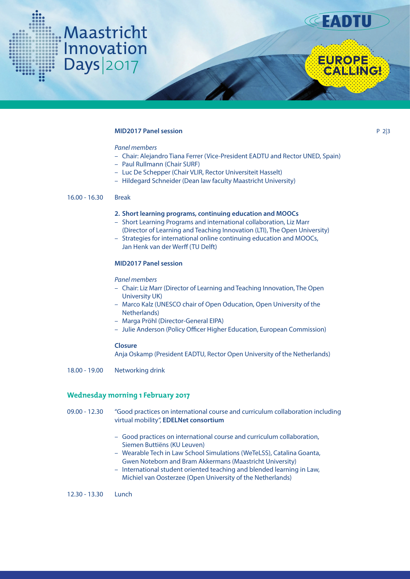



**EUROPE**<br>CALLINGI

P 2|3

### **MID2017 Panel session**

# *Panel members*

- Chair: Alejandro Tiana Ferrer (Vice-President EADTU and Rector UNED, Spain)
- Paul Rullmann (Chair SURF)
- Luc De Schepper (Chair VLIR, Rector Universiteit Hasselt)
- Hildegard Schneider (Dean law faculty Maastricht University)

## 16.00 - 16.30 Break

#### **2. Short learning programs, continuing education and MOOCs**

- Short Learning Programs and international collaboration, Liz Marr (Director of Learning and Teaching Innovation (LTI), The Open University)
- Strategies for international online continuing education and MOOCs, Jan Henk van der Werff (TU Delft)

### **MID2017 Panel session**

*Panel members*

- Chair: Liz Marr (Director of Learning and Teaching Innovation, The Open University UK)
- Marco Kalz (UNESCO chair of Open Oducation, Open University of the Netherlands)
- Marga Pröhl (Director-General EIPA)
- Julie Anderson (Policy Officer Higher Education, European Commission)

### **Closure**

Anja Oskamp (President EADTU, Rector Open University of the Netherlands)

18.00 - 19.00 Networking drink

# **Wednesday morning 1 February 2017**

- 09.00 12.30 "Good practices on international course and curriculum collaboration including virtual mobility", **EDELNet consortium**
	- Good practices on international course and curriculum collaboration, Siemen Buttiëns (KU Leuven)
	- Wearable Tech in Law School Simulations (WeTeLSS), Catalina Goanta, Gwen Noteborn and Bram Akkermans (Maastricht University)
	- International student oriented teaching and blended learning in Law, Michiel van Oosterzee (Open University of the Netherlands)

12.30 - 13.30 Lunch